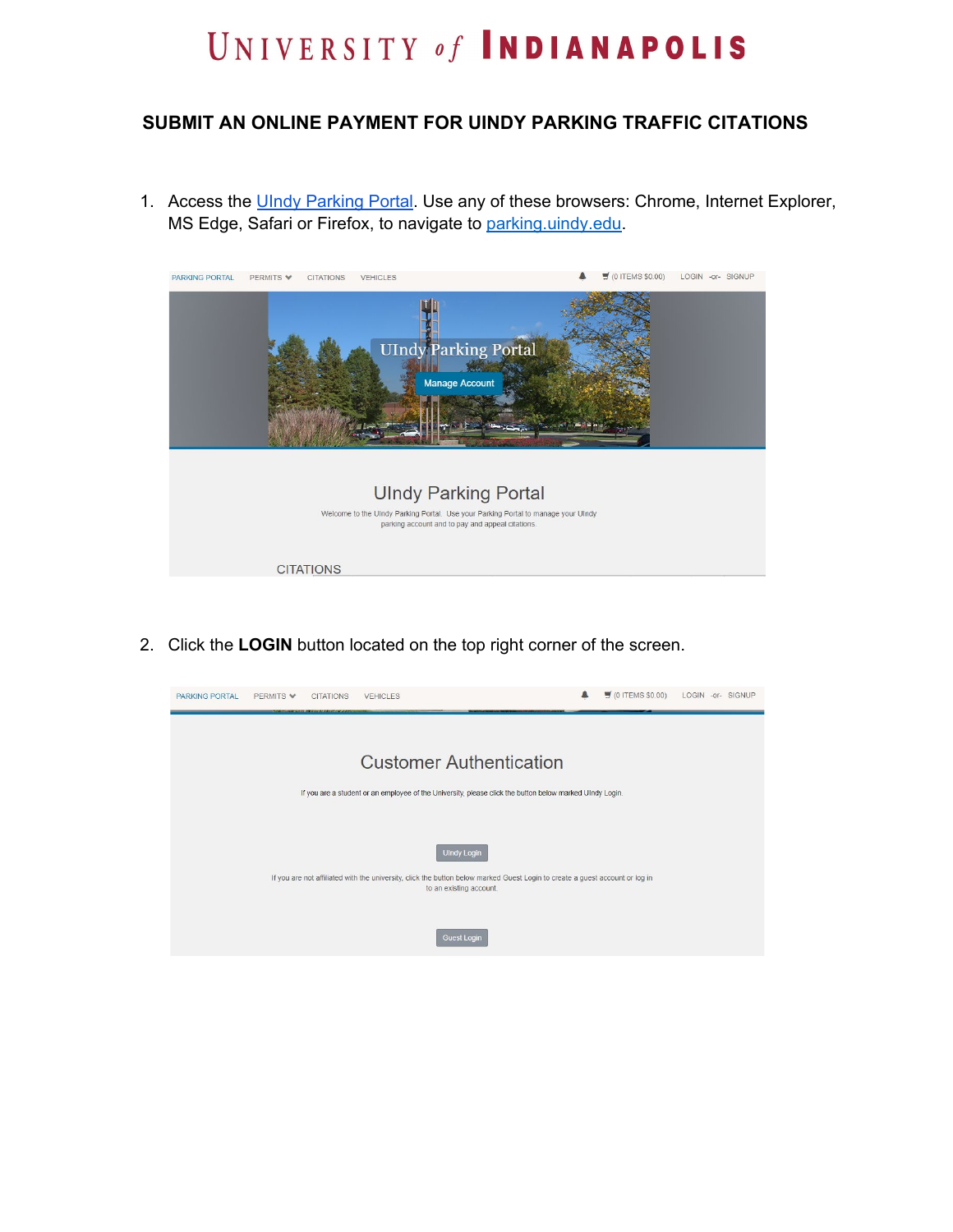## UNIVERSITY of INDIANAPOLIS

## **SUBMIT AN ONLINE PAYMENT FOR UINDY PARKING TRAFFIC CITATIONS**

1. Access the UIndy [Parking](http://parking.uindy.edu/) Portal. Use any of these browsers: Chrome, Internet Explorer, MS Edge, Safari or Firefox, to navigate to [parking.uindy.edu.](https://parking.uindy.edu/)



2. Click the **LOGIN** button located on the top right corner of the screen.

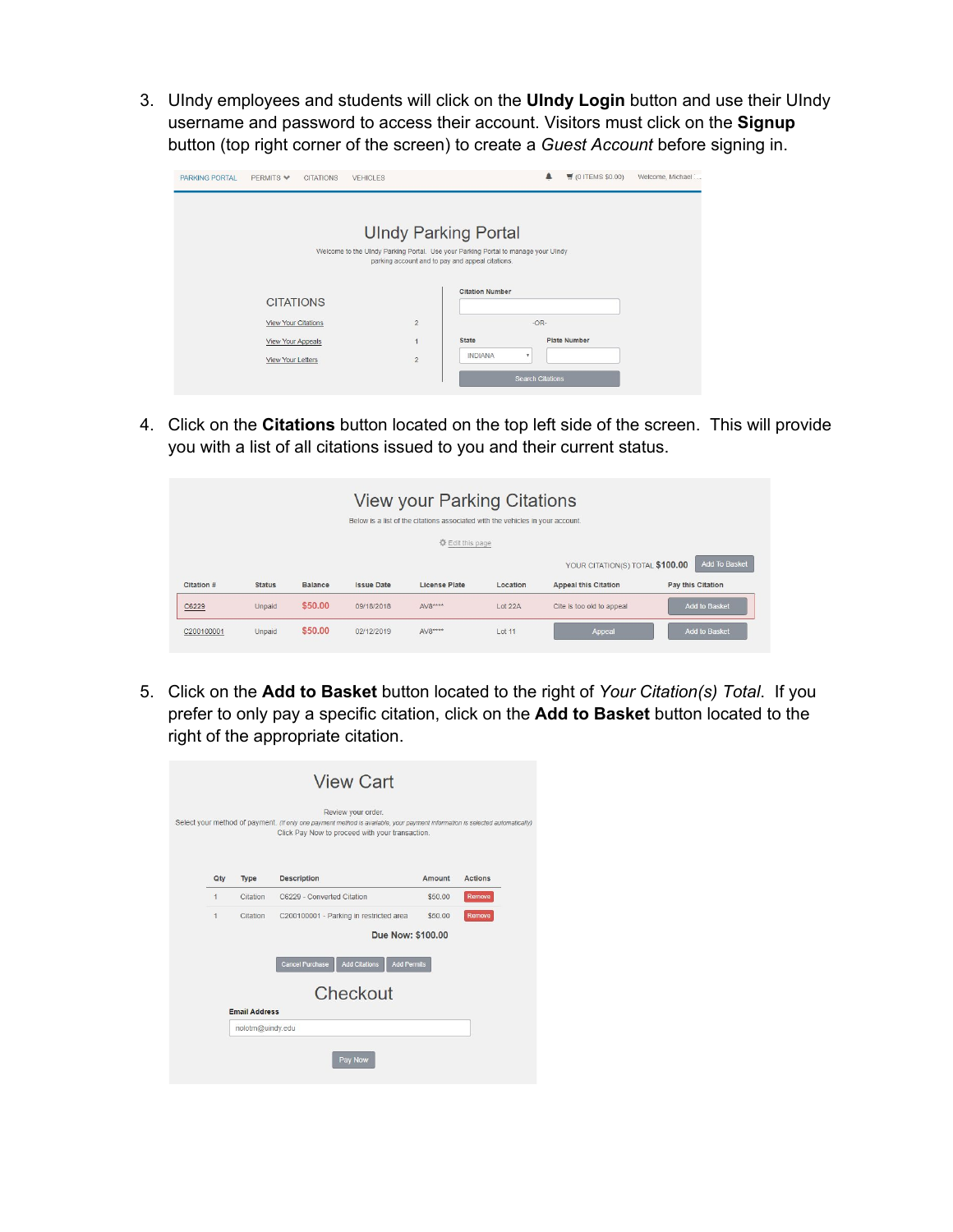3. UIndy employees and students will click on the **UIndy Login** button and use their UIndy username and password to access their account. Visitors must click on the **Signup** button (top right corner of the screen) to create a *Guest Account* before signing in.

| PARKING PORTAL | PFRMITS V                              | <b>CITATIONS</b> | <b>VEHICLES</b>                                                                                                  |                                                                            | $\blacksquare$          | (01TEMS \$0.00)     | Welcome, Michael |
|----------------|----------------------------------------|------------------|------------------------------------------------------------------------------------------------------------------|----------------------------------------------------------------------------|-------------------------|---------------------|------------------|
|                |                                        |                  | <b>UIndy Parking Portal</b><br>Welcome to the UIndy Parking Portal. Use your Parking Portal to manage your UIndy |                                                                            |                         |                     |                  |
|                | <b>CITATIONS</b>                       |                  |                                                                                                                  | parking account and to pay and appeal citations.<br><b>Citation Number</b> |                         |                     |                  |
|                | <b>View Your Citations</b>             |                  | $\overline{2}$                                                                                                   |                                                                            | $-OR-$                  |                     |                  |
|                | View Your Appeals<br>View Your Letters |                  | 1<br>$\overline{2}$                                                                                              | <b>State</b><br><b>INDIANA</b>                                             | ۰                       | <b>Plate Number</b> |                  |
|                |                                        |                  |                                                                                                                  |                                                                            | <b>Search Citations</b> |                     |                  |

4. Click on the **Citations** button located on the top left side of the screen. This will provide you with a list of all citations issued to you and their current status.

|            |               |                |                   | <b>View your Parking Citations</b><br>Below is a list of the citations associated with the vehicles in your account. |           |                                 |                          |
|------------|---------------|----------------|-------------------|----------------------------------------------------------------------------------------------------------------------|-----------|---------------------------------|--------------------------|
|            |               |                |                   | 登 Edit this page                                                                                                     |           |                                 |                          |
|            |               |                |                   |                                                                                                                      |           | YOUR CITATION(S) TOTAL \$100.00 | <b>Add To Basket</b>     |
| Citation # | <b>Status</b> | <b>Balance</b> | <b>Issue Date</b> | <b>License Plate</b>                                                                                                 | Location  | <b>Appeal this Citation</b>     | <b>Pay this Citation</b> |
| C6229      | Unpaid        | \$50.00        | 09/18/2018        | $AV8***$                                                                                                             | Lot 22A   | Cite is too old to appeal       | <b>Add to Basket</b>     |
| C200100001 | Unpaid        | \$50.00        | 02/12/2019        | $AV8***$                                                                                                             | $1$ of 11 | Appeal                          | Add to Basket            |

5. Click on the **Add to Basket** button located to the right of *Your Citation(s) Total*. If you prefer to only pay a specific citation, click on the **Add to Basket** button located to the right of the appropriate citation.

|                            |                      | <b>View Cart</b>                                                                                                                                                                                      |         |                |
|----------------------------|----------------------|-------------------------------------------------------------------------------------------------------------------------------------------------------------------------------------------------------|---------|----------------|
|                            |                      | Review your order.<br>Select your method of payment. (If only one payment method is available, your payment information is selected automatically)<br>Click Pay Now to proceed with your transaction. |         |                |
| Qty                        | Type                 | Description                                                                                                                                                                                           | Amount  | <b>Actions</b> |
| $\overline{1}$<br>Citation |                      | C6229 - Converted Citation                                                                                                                                                                            | \$5000  | <b>Remove</b>  |
| $\mathbf{1}$<br>Citation   |                      | C200100001 - Parking in restricted area                                                                                                                                                               | \$50.00 | Remove         |
|                            |                      | Due Now: \$100,00                                                                                                                                                                                     |         |                |
|                            |                      | <b>Add Citations</b><br><b>Cancel Purchase</b><br><b>Add Permits</b>                                                                                                                                  |         |                |
|                            |                      | Checkout                                                                                                                                                                                              |         |                |
|                            | <b>Email Address</b> |                                                                                                                                                                                                       |         |                |
|                            | nolotm@uindy.edu     |                                                                                                                                                                                                       |         |                |
|                            |                      | Pay Now                                                                                                                                                                                               |         |                |